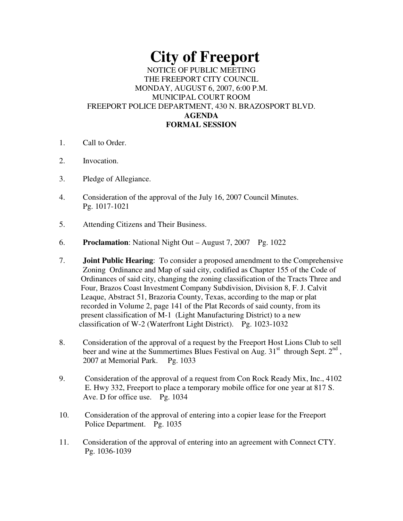# **City of Freeport**

## NOTICE OF PUBLIC MEETING THE FREEPORT CITY COUNCIL MONDAY, AUGUST 6, 2007, 6:00 P.M. MUNICIPAL COURT ROOM FREEPORT POLICE DEPARTMENT, 430 N. BRAZOSPORT BLVD. **AGENDA FORMAL SESSION**

- 1. Call to Order.
- 2. Invocation.
- 3. Pledge of Allegiance.
- 4. Consideration of the approval of the July 16, 2007 Council Minutes. Pg. 1017-1021
- 5. Attending Citizens and Their Business.
- 6. **Proclamation**: National Night Out August 7, 2007 Pg. 1022
- 7. **Joint Public Hearing**: To consider a proposed amendment to the Comprehensive Zoning Ordinance and Map of said city, codified as Chapter 155 of the Code of Ordinances of said city, changing the zoning classification of the Tracts Three and Four, Brazos Coast Investment Company Subdivision, Division 8, F. J. Calvit Leaque, Abstract 51, Brazoria County, Texas, according to the map or plat recorded in Volume 2, page 141 of the Plat Records of said county, from its present classification of M-1 (Light Manufacturing District) to a new classification of W-2 (Waterfront Light District). Pg. 1023-1032
- 8. Consideration of the approval of a request by the Freeport Host Lions Club to sell beer and wine at the Summertimes Blues Festival on Aug.  $31<sup>st</sup>$  through Sept.  $2<sup>nd</sup>$ , 2007 at Memorial Park. Pg. 1033
- 9. Consideration of the approval of a request from Con Rock Ready Mix, Inc., 4102 E. Hwy 332, Freeport to place a temporary mobile office for one year at 817 S. Ave. D for office use. Pg. 1034
- 10. Consideration of the approval of entering into a copier lease for the Freeport Police Department. Pg. 1035
- 11. Consideration of the approval of entering into an agreement with Connect CTY. Pg. 1036-1039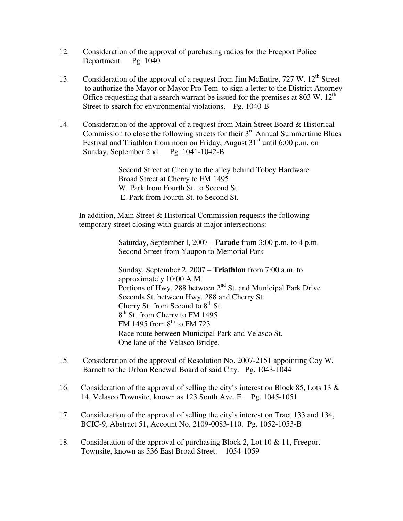- 12. Consideration of the approval of purchasing radios for the Freeport Police Department. Pg. 1040
- 13. Consideration of the approval of a request from Jim McEntire, 727 W. 12<sup>th</sup> Street to authorize the Mayor or Mayor Pro Tem to sign a letter to the District Attorney Office requesting that a search warrant be issued for the premises at 803 W.  $12<sup>th</sup>$ Street to search for environmental violations. Pg. 1040-B
- 14. Consideration of the approval of a request from Main Street Board & Historical Commission to close the following streets for their  $3<sup>rd</sup>$  Annual Summertime Blues Festival and Triathlon from noon on Friday, August 31<sup>st</sup> until 6:00 p.m. on Sunday, September 2nd. Pg. 1041-1042-B

Second Street at Cherry to the alley behind Tobey Hardware Broad Street at Cherry to FM 1495 W. Park from Fourth St. to Second St. E. Park from Fourth St. to Second St.

In addition, Main Street & Historical Commission requests the following temporary street closing with guards at major intersections:

> Saturday, September l, 2007-- **Parade** from 3:00 p.m. to 4 p.m. Second Street from Yaupon to Memorial Park

> Sunday, September 2, 2007 – **Triathlon** from 7:00 a.m. to approximately 10:00 A.M. Portions of Hwy. 288 between 2<sup>nd</sup> St. and Municipal Park Drive Seconds St. between Hwy. 288 and Cherry St. Cherry St. from Second to  $8<sup>th</sup>$  St. 8<sup>th</sup> St. from Cherry to FM 1495 FM 1495 from  $8^{th}$  to FM 723 Race route between Municipal Park and Velasco St. One lane of the Velasco Bridge.

- 15. Consideration of the approval of Resolution No. 2007-2151 appointing Coy W. Barnett to the Urban Renewal Board of said City. Pg. 1043-1044
- 16. Consideration of the approval of selling the city's interest on Block 85, Lots 13  $\&$ 14, Velasco Townsite, known as 123 South Ave. F. Pg. 1045-1051
- 17. Consideration of the approval of selling the city's interest on Tract 133 and 134, BCIC-9, Abstract 51, Account No. 2109-0083-110. Pg. 1052-1053-B
- 18. Consideration of the approval of purchasing Block 2, Lot 10 & 11, Freeport Townsite, known as 536 East Broad Street. 1054-1059